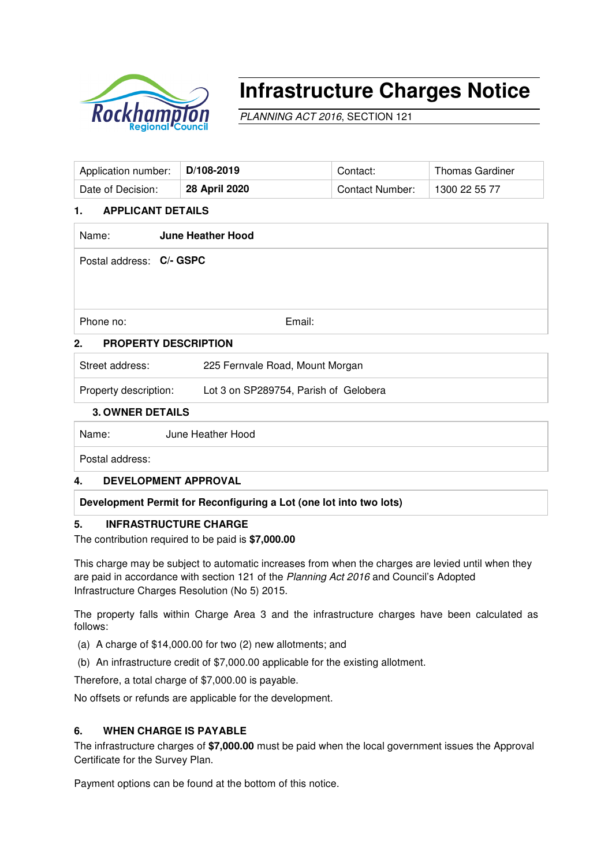

# **Infrastructure Charges Notice**

PLANNING ACT 2016, SECTION 121

| Application number:                                | D/108-2019                            | Contact:               | <b>Thomas Gardiner</b> |  |  |  |  |
|----------------------------------------------------|---------------------------------------|------------------------|------------------------|--|--|--|--|
| Date of Decision:                                  | 28 April 2020                         | <b>Contact Number:</b> | 1300 22 55 77          |  |  |  |  |
| <b>APPLICANT DETAILS</b><br>1.                     |                                       |                        |                        |  |  |  |  |
| <b>June Heather Hood</b><br>Name:                  |                                       |                        |                        |  |  |  |  |
| Postal address: C/- GSPC                           |                                       |                        |                        |  |  |  |  |
|                                                    |                                       |                        |                        |  |  |  |  |
|                                                    |                                       |                        |                        |  |  |  |  |
| Email:<br>Phone no:                                |                                       |                        |                        |  |  |  |  |
| <b>PROPERTY DESCRIPTION</b><br>2.                  |                                       |                        |                        |  |  |  |  |
| Street address:<br>225 Fernvale Road, Mount Morgan |                                       |                        |                        |  |  |  |  |
| Property description:                              | Lot 3 on SP289754, Parish of Gelobera |                        |                        |  |  |  |  |
| <b>3. OWNER DETAILS</b>                            |                                       |                        |                        |  |  |  |  |
| June Heather Hood<br>Name:                         |                                       |                        |                        |  |  |  |  |

Postal address:

# **4. DEVELOPMENT APPROVAL**

**Development Permit for Reconfiguring a Lot (one lot into two lots)** 

## **5. INFRASTRUCTURE CHARGE**

The contribution required to be paid is **\$7,000.00**

This charge may be subject to automatic increases from when the charges are levied until when they are paid in accordance with section 121 of the Planning Act 2016 and Council's Adopted Infrastructure Charges Resolution (No 5) 2015.

The property falls within Charge Area 3 and the infrastructure charges have been calculated as follows:

- (a) A charge of \$14,000.00 for two (2) new allotments; and
- (b) An infrastructure credit of \$7,000.00 applicable for the existing allotment.

Therefore, a total charge of \$7,000.00 is payable.

No offsets or refunds are applicable for the development.

# **6. WHEN CHARGE IS PAYABLE**

The infrastructure charges of **\$7,000.00** must be paid when the local government issues the Approval Certificate for the Survey Plan.

Payment options can be found at the bottom of this notice.